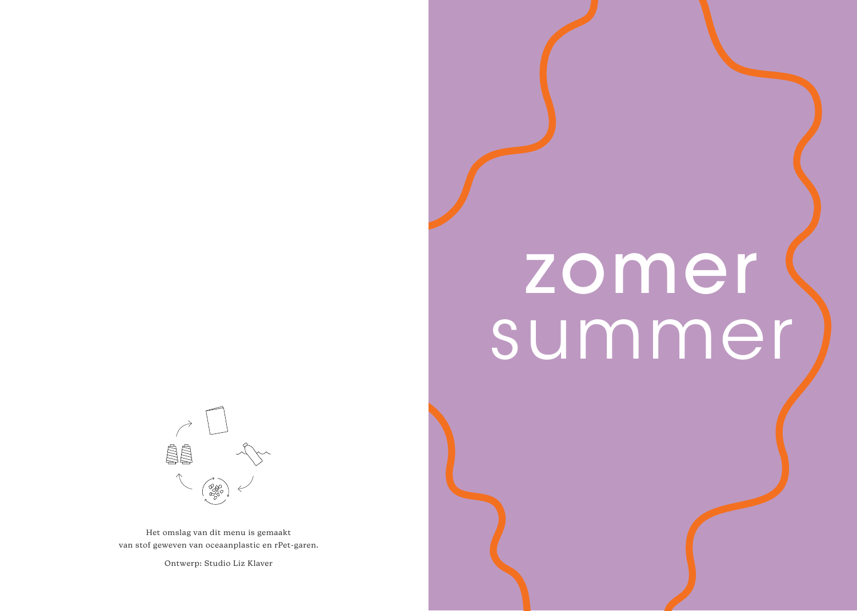# zomer summer



Het omslag van dit menu is gemaakt van stof geweven van oceaanplastic en rPet-garen.

Ontwerp: Studio Liz Klaver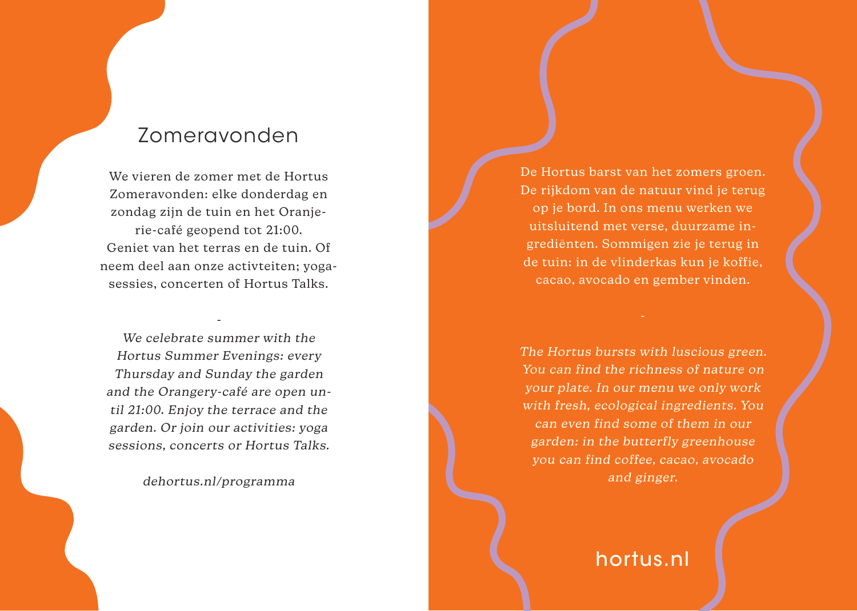## Zomeravonden

We vieren de zomer met de Hortus Zomeravonden: elke donderdag en zondag zijn de tuin en het Oranjerie-café geopend tot 21:00. Geniet van het terras en de tuin. Of neem deel aan onze activteiten; yogasessies, concerten of Hortus Talks.

We celebrate summer with the Hortus Summer Evenings: every Thursday and Sunday the garden and the Orangery-café are open until 21:00. Enjoy the terrace and the garden. Or join our activities: yoga sessions, concerts or Hortus Talks.

-

dehortus.nl/programma

De Hortus barst van het zomers groen. De rijkdom van de natuur vind je terug op je bord. In ons menu werken we uitsluitend met verse, duurzame ingrediënten. Sommigen zie je terug in de tuin: in de vlinderkas kun je koffie, cacao, avocado en gember vinden.

The Hortus bursts with luscious green. You can find the richness of nature on your plate. In our menu we only work with fresh, ecological ingredients. You can even find some of them in our garden: in the butterfly greenhouse you can find coffee, cacao, avocado and ginger.

hortus.nl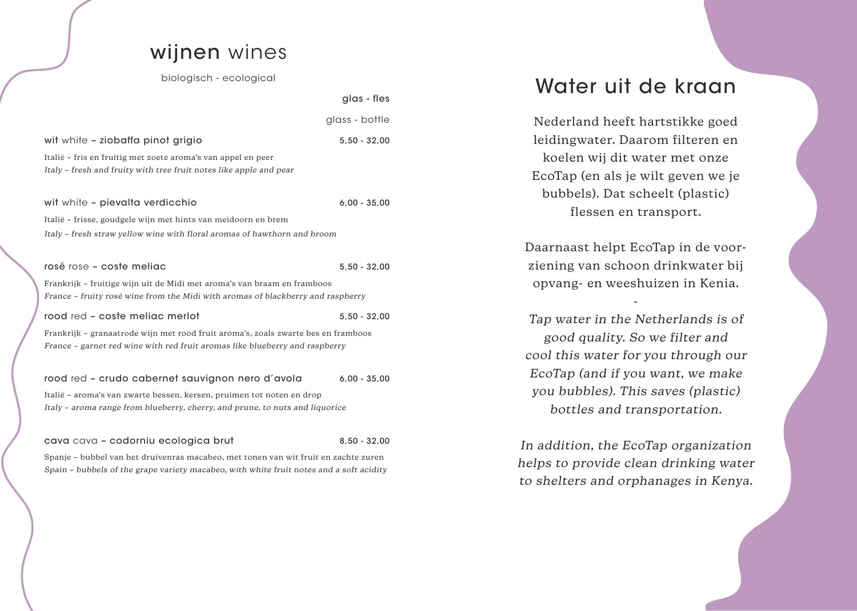#### wijnen wines

biologisch - ecological

glas - fles

|                                                                                     | glass - bottle |  |
|-------------------------------------------------------------------------------------|----------------|--|
| wit white - ziobaffa pinot grigio                                                   | $5,50 - 32,00$ |  |
| Italië – fris en fruitig met zoete aroma's van appel en peer                        |                |  |
| Italy – fresh and fruity with tree fruit notes like apple and pear                  |                |  |
|                                                                                     |                |  |
| wit white - pievalta verdicchio                                                     | $6,00 - 35,00$ |  |
| Italië – frisse, goudgele wijn met hints van meidoorn en brem                       |                |  |
| Italy - fresh straw yellow wine with floral aromas of hawthorn and broom            |                |  |
|                                                                                     |                |  |
| rosé rose - coste meliac                                                            | $5.50 - 32.00$ |  |
| Frankrijk - fruitige wijn uit de Midi met aroma's van braam en framboos             |                |  |
| France – fruity rosé wine from the Midi with aromas of blackberry and raspberry     |                |  |
| rood red - coste meliac merlot                                                      | $5.50 - 32.00$ |  |
| Frankrijk - granaatrode wijn met rood fruit aroma's, zoals zwarte bes en framboos   |                |  |
| France - garnet red wine with red fruit aromas like blueberry and raspberry         |                |  |
|                                                                                     |                |  |
| rood red - crudo cabernet sauvignon nero d'avola                                    | $6,00 - 35,00$ |  |
| Italië - aroma's van zwarte bessen, kersen, pruimen tot noten en drop               |                |  |
| Italy - aroma range from blueberry, cherry, and prune, to nuts and liquorice        |                |  |
|                                                                                     |                |  |
| cava cava - codorniu ecologica brut                                                 | $8.50 - 32.00$ |  |
| Spanje - bubbel van het druivenras macabeo, met tonen van wit fruit en zachte zuren |                |  |

Spain – bubbels of the grape variety macabeo, with white fruit notes and a soft acidity

#### Water uit de kraan

Nederland heeft hartstikke goed leidingwater. Daarom filteren en koelen wij dit water met onze EcoTap (en als je wilt geven we je bubbels). Dat scheelt (plastic) flessen en transport.

Daarnaast helpt EcoTap in de voorziening van schoon drinkwater bij opvang- en weeshuizen in Kenia.

-

Tap water in the Netherlands is of good quality. So we filter and cool this water for you through our EcoTap (and if you want, we make you bubbles). This saves (plastic) bottles and transportation.

In addition, the EcoTap organization helps to provide clean drinking water to shelters and orphanages in Kenya.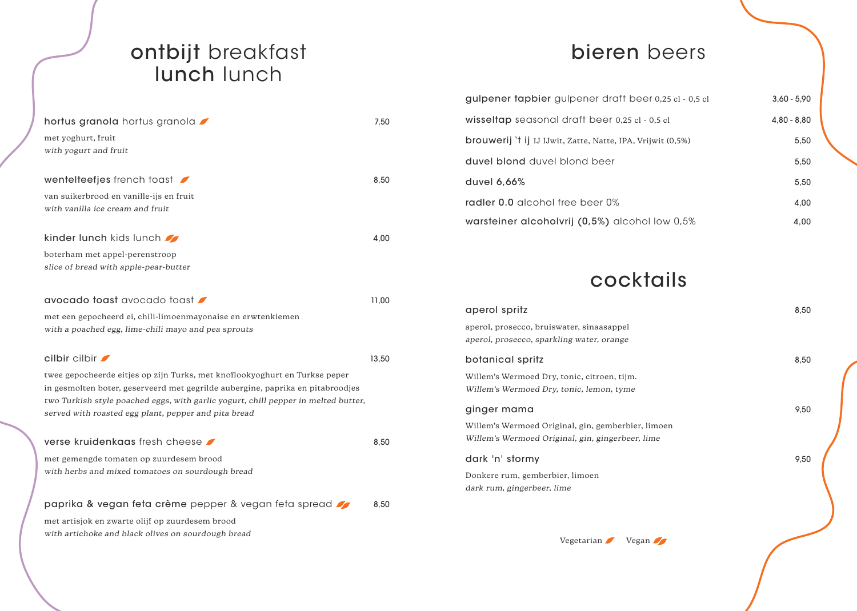#### ontbijt breakfast lunch lunch

| hortus granola hortus granola                                                                                                              | 7,50  |
|--------------------------------------------------------------------------------------------------------------------------------------------|-------|
| met yoghurt, fruit                                                                                                                         |       |
| with yogurt and fruit                                                                                                                      |       |
| wentelteefjes french toast                                                                                                                 | 8,50  |
|                                                                                                                                            |       |
| van suikerbrood en vanille-ijs en fruit                                                                                                    |       |
| with vanilla ice cream and fruit                                                                                                           |       |
| kinder lunch kids lunch                                                                                                                    | 4,00  |
| boterham met appel-perenstroop                                                                                                             |       |
| slice of bread with apple-pear-butter                                                                                                      |       |
|                                                                                                                                            |       |
| avocado toast avocado toast                                                                                                                | 11,00 |
| met een gepocheerd ei, chili-limoenmayonaise en erwtenkiemen                                                                               |       |
| with a poached egg, lime-chili mayo and pea sprouts                                                                                        |       |
| $cilbir$ $cilbir$                                                                                                                          | 13,50 |
|                                                                                                                                            |       |
| twee gepocheerde eitjes op zijn Turks, met knoflookyoghurt en Turkse peper                                                                 |       |
| in gesmolten boter, geserveerd met gegrilde aubergine, paprika en pitabroodjes                                                             |       |
| two Turkish style poached eggs, with garlic yogurt, chill pepper in melted butter,<br>served with roasted egg plant, pepper and pita bread |       |
|                                                                                                                                            |       |
| verse kruidenkaas fresh cheese ●                                                                                                           | 8,50  |
| met gemengde tomaten op zuurdesem brood                                                                                                    |       |
| with herbs and mixed tomatoes on sourdough bread                                                                                           |       |
|                                                                                                                                            |       |
| paprika & vegan feta crème pepper & vegan feta spread                                                                                      | 8,50  |
| met artisjok en zwarte olijf op zuurdesem brood                                                                                            |       |

with artichoke and black olives on sourdough bread

## bieren beers

|      | gulpener tapbier gulpener draft beer 0,25 cl - 0,5 cl               | $3,60 - 5,90$ |
|------|---------------------------------------------------------------------|---------------|
| 7,50 | wisseltap seasonal draft beer 0,25 cl - 0,5 cl                      | $4,80 - 8,80$ |
|      | <b>brouwerij</b> 't ij IJ IJ wit, Zatte, Natte, IPA, Vrijwit (0,5%) | 5,50          |
|      | duvel blond duvel blond beer                                        | 5,50          |
| 8,50 | duvel 6.66%                                                         | 5,50          |
|      | radler 0.0 alcohol free beer 0%                                     | 4,00          |
|      | warsteiner alcoholvrij (0,5%) alcohol low 0,5%                      | 4,00          |

## cocktails

| aperol spritz                                                                                          | 8,50 |
|--------------------------------------------------------------------------------------------------------|------|
| aperol, prosecco, bruiswater, sinaasappel<br>aperol, prosecco, sparkling water, orange                 |      |
| botanical spritz                                                                                       | 8,50 |
| Willem's Wermoed Dry, tonic, citroen, tijm.<br>Willem's Wermoed Dry, tonic, lemon, tyme                |      |
| ginger mama                                                                                            | 9,50 |
| Willem's Wermoed Original, gin, gemberbier, limoen<br>Willem's Wermoed Original, gin, gingerbeer, lime |      |
| dark 'n' stormy                                                                                        | 9,50 |
| Donkere rum, gemberbier, limoen<br>dark rum, gingerbeer, lime                                          |      |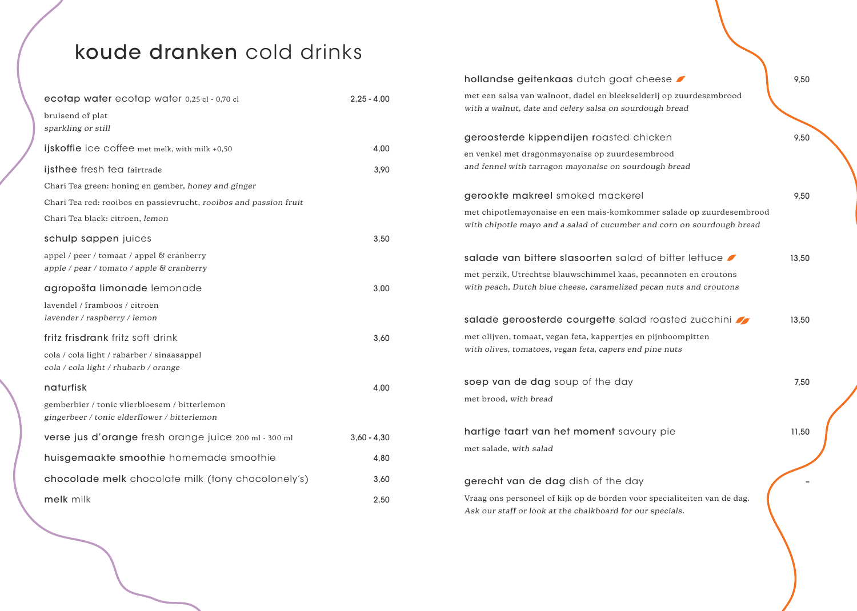# koude dranken cold drinks

| ecotap water ecotap water 0,25 cl - 0,70 cl                       | $2,25 - 4,00$ | met een salsa van walnoot, dadel en bleekselderij op zuurdesembrood                                                                   |       |
|-------------------------------------------------------------------|---------------|---------------------------------------------------------------------------------------------------------------------------------------|-------|
| bruisend of plat                                                  |               | with a walnut, date and celery salsa on sourdough bread                                                                               |       |
| sparkling or still                                                |               | geroosterde kippendijen roasted chicken                                                                                               | 9,50  |
| ijskoffie ice coffee met melk, with milk +0,50                    | 4,00          |                                                                                                                                       |       |
|                                                                   |               | en venkel met dragonmayonaise op zuurdesembrood                                                                                       |       |
| ijsthee fresh tea fairtrade                                       | 3,90          | and fennel with tarragon mayonaise on sourdough bread                                                                                 |       |
| Chari Tea green: honing en gember, honey and ginger               |               |                                                                                                                                       |       |
| Chari Tea red: rooibos en passievrucht, rooibos and passion fruit |               | gerookte makreel smoked mackerel                                                                                                      | 9,50  |
| Chari Tea black: citroen, lemon                                   |               | met chipotlemayonaise en een mais-komkommer salade op zuurdesembrood                                                                  |       |
|                                                                   |               | with chipotle mayo and a salad of cucumber and corn on sourdough bread                                                                |       |
| schulp sappen juices                                              | 3,50          |                                                                                                                                       |       |
| appel / peer / tomaat / appel & cranberry                         |               | salade van bittere slasoorten salad of bitter lettuce                                                                                 | 13,50 |
| apple / pear / tomato / apple & cranberry                         |               | met perzik, Utrechtse blauwschimmel kaas, pecannoten en croutons                                                                      |       |
| agropošta limonade lemonade                                       | 3,00          | with peach, Dutch blue cheese, caramelized pecan nuts and croutons                                                                    |       |
| lavendel / framboos / citroen                                     |               |                                                                                                                                       |       |
| lavender / raspberry / lemon                                      |               | salade geroosterde courgette salad roasted zucchini                                                                                   | 13,50 |
| fritz frisdrank fritz soft drink                                  | 3,60          | met olijven, tomaat, vegan feta, kappertjes en pijnboompitten                                                                         |       |
| cola / cola light / rabarber / sinaasappel                        |               | with olives, tomatoes, vegan feta, capers end pine nuts                                                                               |       |
| cola / cola light / rhubarb / orange                              |               |                                                                                                                                       |       |
| naturfisk                                                         | 4,00          | soep van de dag soup of the day                                                                                                       | 7.50  |
| gemberbier / tonic vlierbloesem / bitterlemon                     |               | met brood, with bread                                                                                                                 |       |
| gingerbeer / tonic elderflower / bitterlemon                      |               |                                                                                                                                       |       |
|                                                                   |               | hartige taart van het moment savoury pie                                                                                              | 11,50 |
| verse jus d'orange fresh orange juice 200 ml - 300 ml             | $3,60 - 4,30$ | met salade, with salad                                                                                                                |       |
| huisgemaakte smoothie homemade smoothie                           | 4,80          |                                                                                                                                       |       |
| chocolade melk chocolate milk (tony chocolonely's)                | 3,60          | gerecht van de dag dish of the day                                                                                                    |       |
| melk milk                                                         | 2,50          | Vraag ons personeel of kijk op de borden voor specialiteiten van de dag.<br>Ask our staff or look at the chalkboard for our specials. |       |

hollandse geitenkaas dutch goat cheese **9**,50